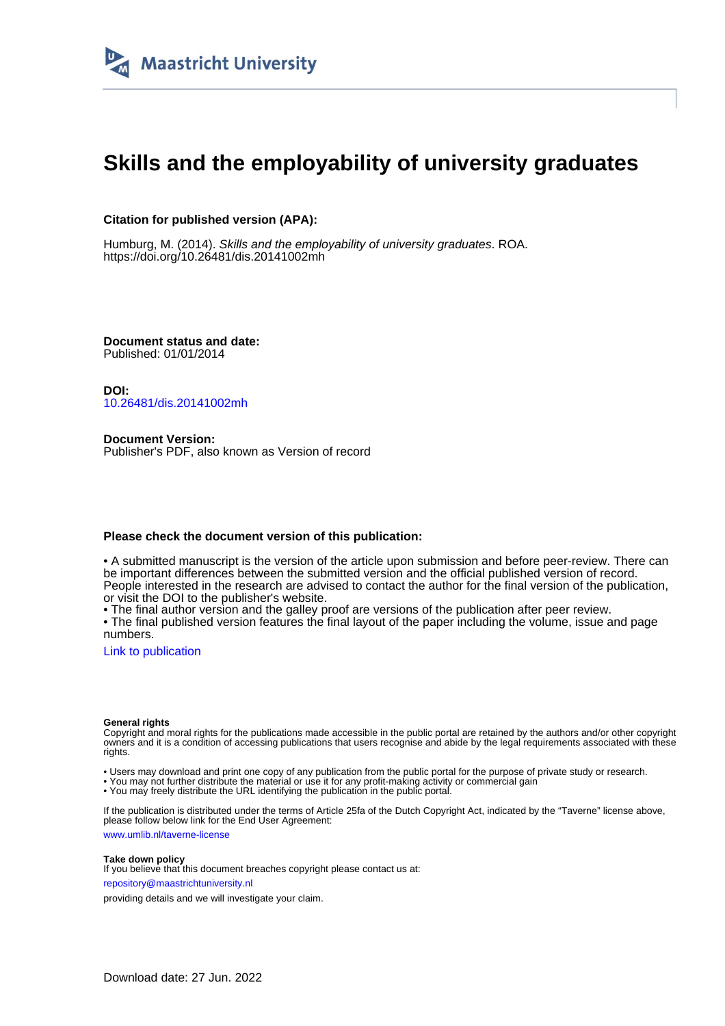

# **Skills and the employability of university graduates**

# **Citation for published version (APA):**

Humburg, M. (2014). Skills and the employability of university graduates. ROA. <https://doi.org/10.26481/dis.20141002mh>

**Document status and date:** Published: 01/01/2014

**DOI:** [10.26481/dis.20141002mh](https://doi.org/10.26481/dis.20141002mh)

**Document Version:** Publisher's PDF, also known as Version of record

#### **Please check the document version of this publication:**

• A submitted manuscript is the version of the article upon submission and before peer-review. There can be important differences between the submitted version and the official published version of record. People interested in the research are advised to contact the author for the final version of the publication, or visit the DOI to the publisher's website.

• The final author version and the galley proof are versions of the publication after peer review.

• The final published version features the final layout of the paper including the volume, issue and page numbers.

[Link to publication](https://cris.maastrichtuniversity.nl/en/publications/22c43a06-864a-449f-965e-b3d63c8f63f7)

#### **General rights**

Copyright and moral rights for the publications made accessible in the public portal are retained by the authors and/or other copyright owners and it is a condition of accessing publications that users recognise and abide by the legal requirements associated with these rights.

• Users may download and print one copy of any publication from the public portal for the purpose of private study or research.

• You may not further distribute the material or use it for any profit-making activity or commercial gain

• You may freely distribute the URL identifying the publication in the public portal.

If the publication is distributed under the terms of Article 25fa of the Dutch Copyright Act, indicated by the "Taverne" license above, please follow below link for the End User Agreement:

www.umlib.nl/taverne-license

#### **Take down policy**

If you believe that this document breaches copyright please contact us at: repository@maastrichtuniversity.nl

providing details and we will investigate your claim.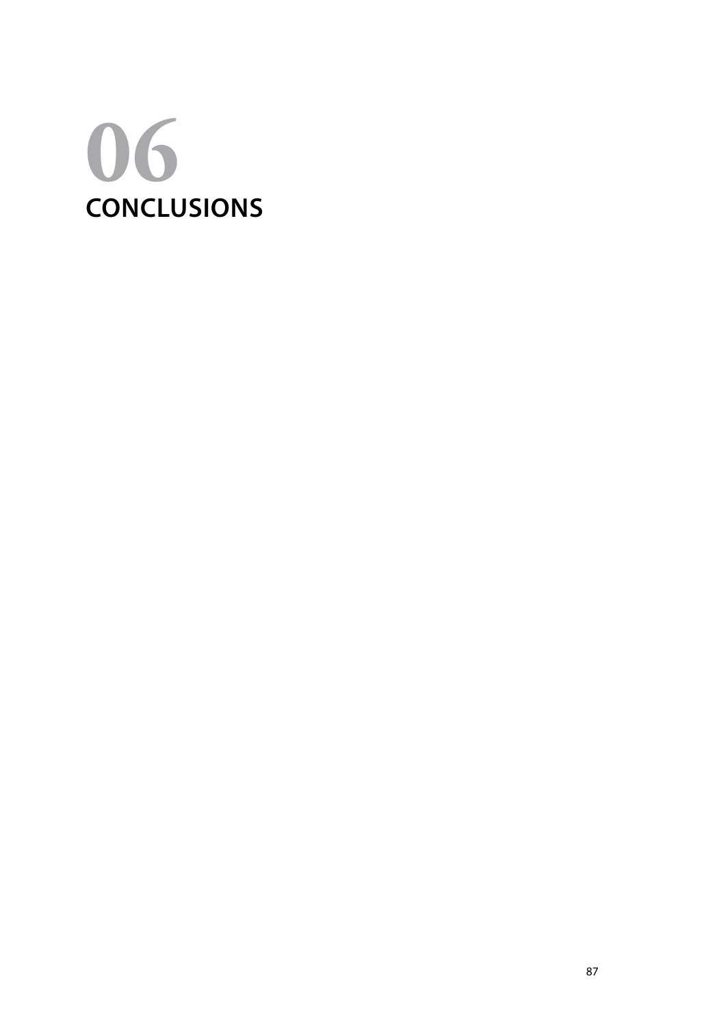# **Conclusions**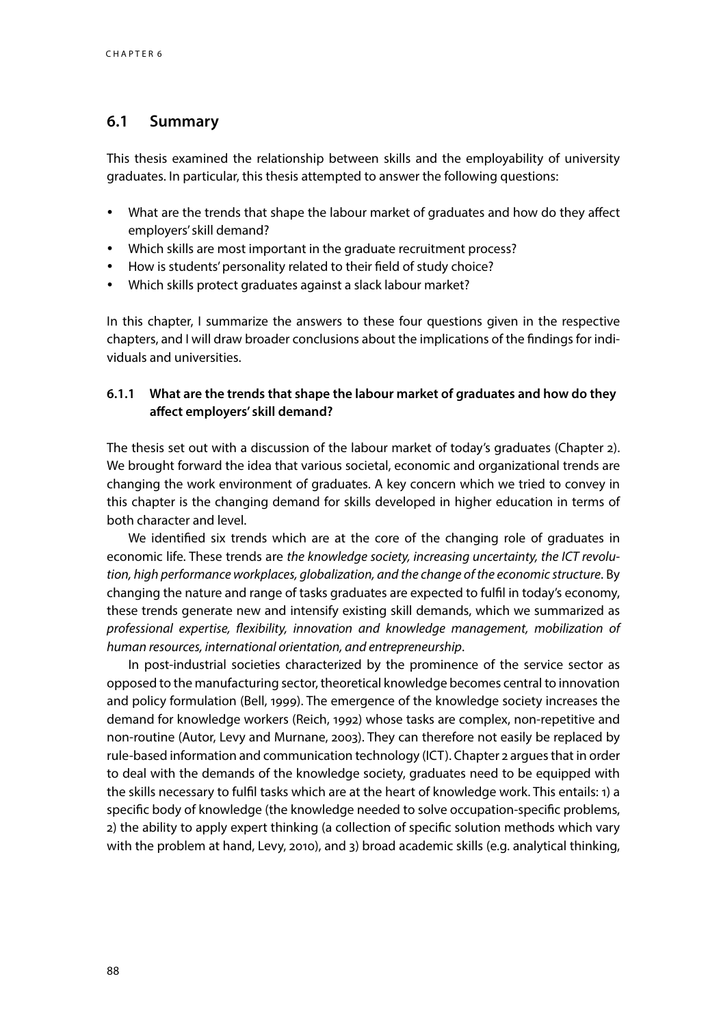# **6.1 Summary**

This thesis examined the relationship between skills and the employability of university graduates. In particular, this thesis attempted to answer the following questions:

- What are the trends that shape the labour market of graduates and how do they affect employers' skill demand?
- Which skills are most important in the graduate recruitment process?
- How is students' personality related to their field of study choice?
- Which skills protect graduates against a slack labour market?

In this chapter, I summarize the answers to these four questions given in the respective chapters, and I will draw broader conclusions about the implications of the findings for individuals and universities.

# **6.1.1 What are the trends that shape the labour market of graduates and how do they affect employers' skill demand?**

The thesis set out with a discussion of the labour market of today's graduates (Chapter 2). We brought forward the idea that various societal, economic and organizational trends are changing the work environment of graduates. A key concern which we tried to convey in this chapter is the changing demand for skills developed in higher education in terms of both character and level.

We identified six trends which are at the core of the changing role of graduates in economic life. These trends are *the knowledge society, increasing uncertainty, the ICT revolution, high performance workplaces, globalization, and the change of the economic structure*. By changing the nature and range of tasks graduates are expected to fulfil in today's economy, these trends generate new and intensify existing skill demands, which we summarized as *professional expertise, flexibility, innovation and knowledge management, mobilization of human resources, international orientation, and entrepreneurship*.

In post-industrial societies characterized by the prominence of the service sector as opposed to the manufacturing sector, theoretical knowledge becomes central to innovation and policy formulation (Bell, 1999). The emergence of the knowledge society increases the demand for knowledge workers (Reich, 1992) whose tasks are complex, non-repetitive and non-routine (Autor, Levy and Murnane, 2003). They can therefore not easily be replaced by rule-based information and communication technology (ICT). Chapter 2 argues that in order to deal with the demands of the knowledge society, graduates need to be equipped with the skills necessary to fulfil tasks which are at the heart of knowledge work. This entails: 1) a specific body of knowledge (the knowledge needed to solve occupation-specific problems, 2) the ability to apply expert thinking (a collection of specific solution methods which vary with the problem at hand, Levy, 2010), and 3) broad academic skills (e.g. analytical thinking,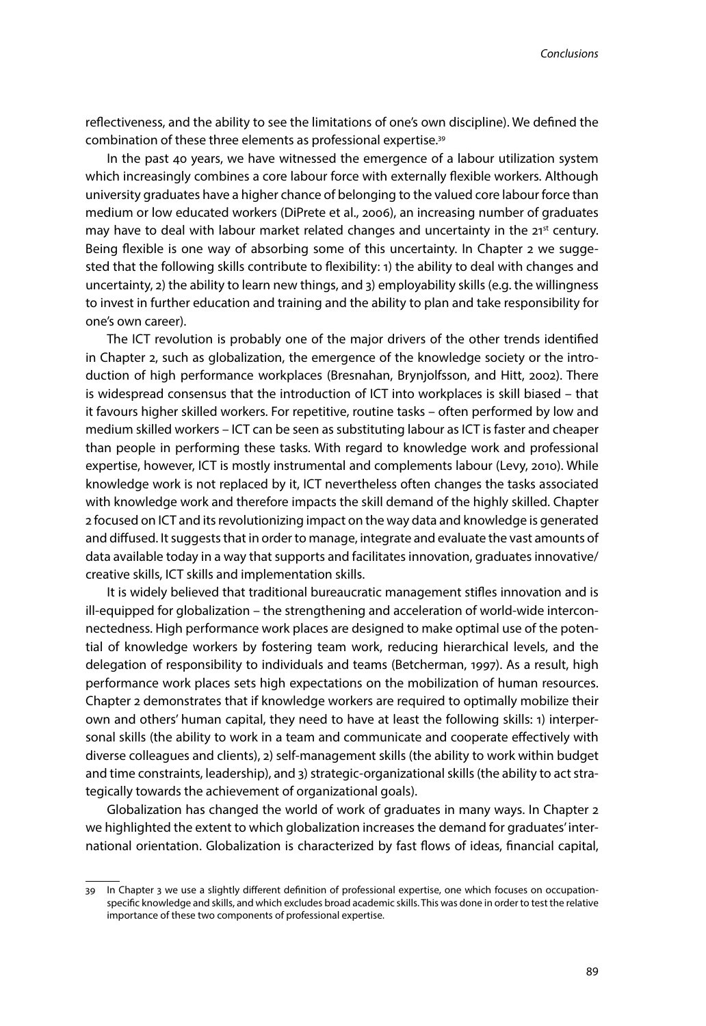reflectiveness, and the ability to see the limitations of one's own discipline). We defined the combination of these three elements as professional expertise.39

In the past 40 years, we have witnessed the emergence of a labour utilization system which increasingly combines a core labour force with externally flexible workers. Although university graduates have a higher chance of belonging to the valued core labour force than medium or low educated workers (DiPrete et al., 2006), an increasing number of graduates may have to deal with labour market related changes and uncertainty in the 21<sup>st</sup> century. Being flexible is one way of absorbing some of this uncertainty. In Chapter 2 we suggested that the following skills contribute to flexibility: 1) the ability to deal with changes and uncertainty, 2) the ability to learn new things, and 3) employability skills (e.g. the willingness to invest in further education and training and the ability to plan and take responsibility for one's own career).

The ICT revolution is probably one of the major drivers of the other trends identified in Chapter 2, such as globalization, the emergence of the knowledge society or the introduction of high performance workplaces (Bresnahan, Brynjolfsson, and Hitt, 2002). There is widespread consensus that the introduction of ICT into workplaces is skill biased – that it favours higher skilled workers. For repetitive, routine tasks – often performed by low and medium skilled workers – ICT can be seen as substituting labour as ICT is faster and cheaper than people in performing these tasks. With regard to knowledge work and professional expertise, however, ICT is mostly instrumental and complements labour (Levy, 2010). While knowledge work is not replaced by it, ICT nevertheless often changes the tasks associated with knowledge work and therefore impacts the skill demand of the highly skilled. Chapter 2 focused on ICT and its revolutionizing impact on the way data and knowledge is generated and diffused. It suggests that in order to manage, integrate and evaluate the vast amounts of data available today in a way that supports and facilitates innovation, graduates innovative/ creative skills, ICT skills and implementation skills.

It is widely believed that traditional bureaucratic management stifles innovation and is ill-equipped for globalization – the strengthening and acceleration of world-wide interconnectedness. High performance work places are designed to make optimal use of the potential of knowledge workers by fostering team work, reducing hierarchical levels, and the delegation of responsibility to individuals and teams (Betcherman, 1997). As a result, high performance work places sets high expectations on the mobilization of human resources. Chapter 2 demonstrates that if knowledge workers are required to optimally mobilize their own and others' human capital, they need to have at least the following skills: 1) interpersonal skills (the ability to work in a team and communicate and cooperate effectively with diverse colleagues and clients), 2) self-management skills (the ability to work within budget and time constraints, leadership), and 3) strategic-organizational skills (the ability to act strategically towards the achievement of organizational goals).

Globalization has changed the world of work of graduates in many ways. In Chapter 2 we highlighted the extent to which globalization increases the demand for graduates' international orientation. Globalization is characterized by fast flows of ideas, financial capital,

<sup>39</sup> In Chapter 3 we use a slightly different definition of professional expertise, one which focuses on occupationspecific knowledge and skills, and which excludes broad academic skills. This was done in order to test the relative importance of these two components of professional expertise.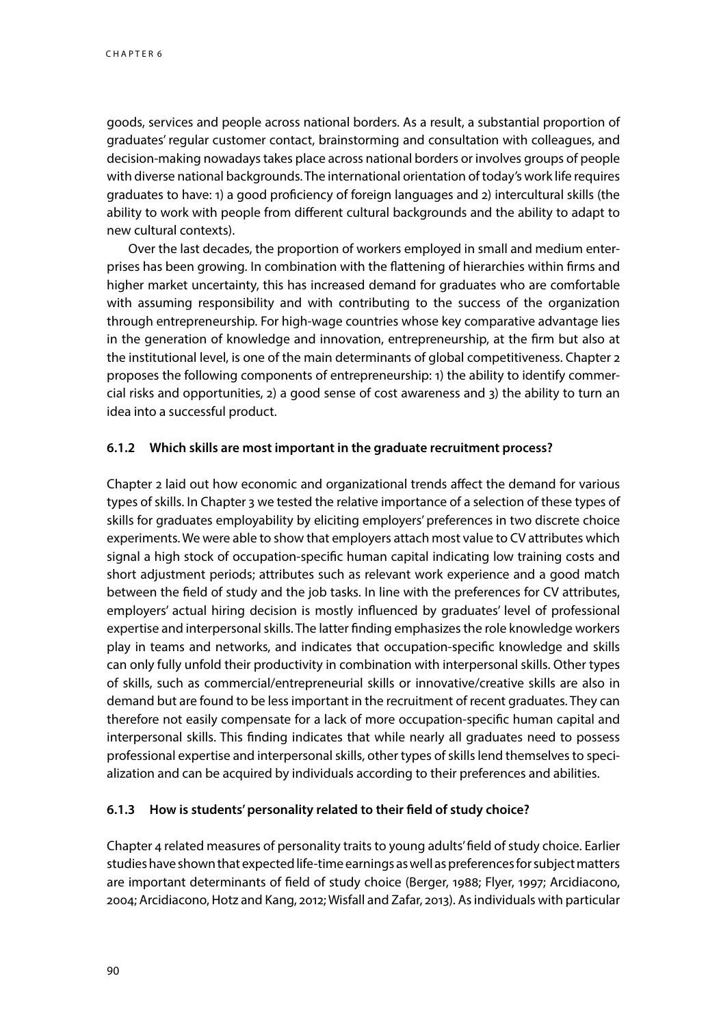goods, services and people across national borders. As a result, a substantial proportion of graduates' regular customer contact, brainstorming and consultation with colleagues, and decision-making nowadays takes place across national borders or involves groups of people with diverse national backgrounds. The international orientation of today's work life requires graduates to have: 1) a good proficiency of foreign languages and 2) intercultural skills (the ability to work with people from different cultural backgrounds and the ability to adapt to new cultural contexts).

Over the last decades, the proportion of workers employed in small and medium enterprises has been growing. In combination with the flattening of hierarchies within firms and higher market uncertainty, this has increased demand for graduates who are comfortable with assuming responsibility and with contributing to the success of the organization through entrepreneurship. For high-wage countries whose key comparative advantage lies in the generation of knowledge and innovation, entrepreneurship, at the firm but also at the institutional level, is one of the main determinants of global competitiveness. Chapter 2 proposes the following components of entrepreneurship: 1) the ability to identify commercial risks and opportunities, 2) a good sense of cost awareness and 3) the ability to turn an idea into a successful product.

#### **6.1.2 Which skills are most important in the graduate recruitment process?**

Chapter 2 laid out how economic and organizational trends affect the demand for various types of skills. In Chapter 3 we tested the relative importance of a selection of these types of skills for graduates employability by eliciting employers' preferences in two discrete choice experiments. We were able to show that employers attach most value to CV attributes which signal a high stock of occupation-specific human capital indicating low training costs and short adjustment periods; attributes such as relevant work experience and a good match between the field of study and the job tasks. In line with the preferences for CV attributes, employers' actual hiring decision is mostly influenced by graduates' level of professional expertise and interpersonal skills. The latter finding emphasizes the role knowledge workers play in teams and networks, and indicates that occupation-specific knowledge and skills can only fully unfold their productivity in combination with interpersonal skills. Other types of skills, such as commercial/entrepreneurial skills or innovative/creative skills are also in demand but are found to be less important in the recruitment of recent graduates. They can therefore not easily compensate for a lack of more occupation-specific human capital and interpersonal skills. This finding indicates that while nearly all graduates need to possess professional expertise and interpersonal skills, other types of skills lend themselves to specialization and can be acquired by individuals according to their preferences and abilities.

#### **6.1.3 How is students' personality related to their field of study choice?**

Chapter 4 related measures of personality traits to young adults' field of study choice. Earlier studies have shown that expected life-time earnings as well as preferences for subject matters are important determinants of field of study choice (Berger, 1988; Flyer, 1997; Arcidiacono, 2004; Arcidiacono, Hotz and Kang, 2012; Wisfall and Zafar, 2013). As individuals with particular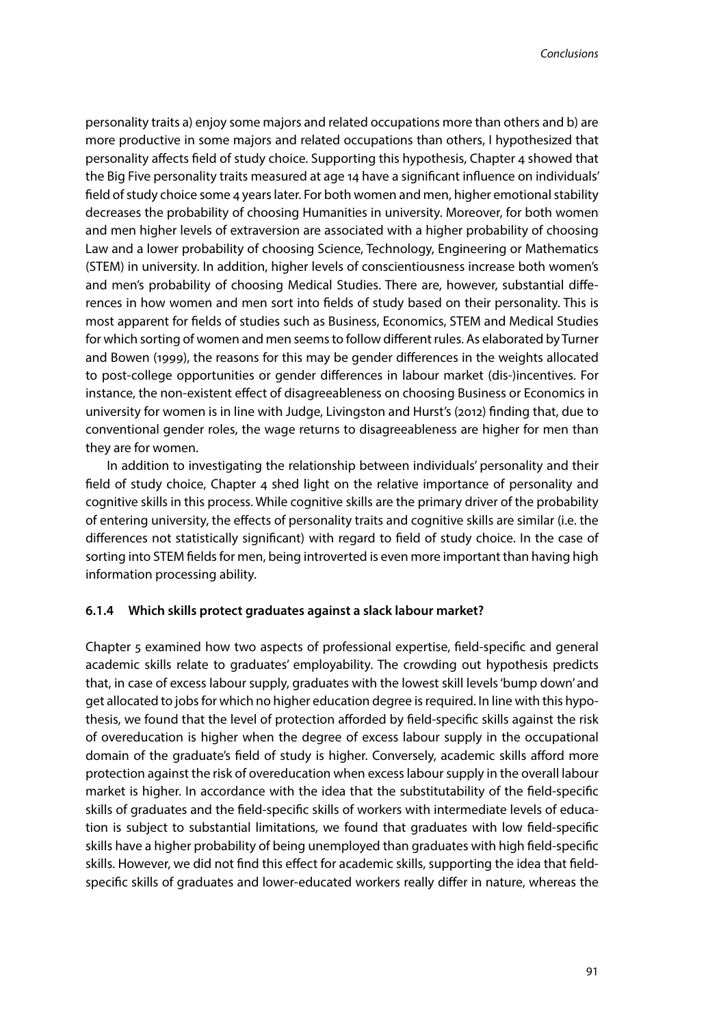personality traits a) enjoy some majors and related occupations more than others and b) are more productive in some majors and related occupations than others, I hypothesized that personality affects field of study choice. Supporting this hypothesis, Chapter 4 showed that the Big Five personality traits measured at age 14 have a significant influence on individuals' field of study choice some 4 years later. For both women and men, higher emotional stability decreases the probability of choosing Humanities in university. Moreover, for both women and men higher levels of extraversion are associated with a higher probability of choosing Law and a lower probability of choosing Science, Technology, Engineering or Mathematics (STEM) in university. In addition, higher levels of conscientiousness increase both women's and men's probability of choosing Medical Studies. There are, however, substantial differences in how women and men sort into fields of study based on their personality. This is most apparent for fields of studies such as Business, Economics, STEM and Medical Studies for which sorting of women and men seems to follow different rules. As elaborated by Turner and Bowen (1999), the reasons for this may be gender differences in the weights allocated to post-college opportunities or gender differences in labour market (dis-)incentives. For instance, the non-existent effect of disagreeableness on choosing Business or Economics in university for women is in line with Judge, Livingston and Hurst's (2012) finding that, due to conventional gender roles, the wage returns to disagreeableness are higher for men than they are for women.

In addition to investigating the relationship between individuals' personality and their field of study choice, Chapter 4 shed light on the relative importance of personality and cognitive skills in this process. While cognitive skills are the primary driver of the probability of entering university, the effects of personality traits and cognitive skills are similar (i.e. the differences not statistically significant) with regard to field of study choice. In the case of sorting into STEM fields for men, being introverted is even more important than having high information processing ability.

#### **6.1.4 Which skills protect graduates against a slack labour market?**

Chapter 5 examined how two aspects of professional expertise, field-specific and general academic skills relate to graduates' employability. The crowding out hypothesis predicts that, in case of excess labour supply, graduates with the lowest skill levels 'bump down' and get allocated to jobs for which no higher education degree is required. In line with this hypothesis, we found that the level of protection afforded by field-specific skills against the risk of overeducation is higher when the degree of excess labour supply in the occupational domain of the graduate's field of study is higher. Conversely, academic skills afford more protection against the risk of overeducation when excess labour supply in the overall labour market is higher. In accordance with the idea that the substitutability of the field-specific skills of graduates and the field-specific skills of workers with intermediate levels of education is subject to substantial limitations, we found that graduates with low field-specific skills have a higher probability of being unemployed than graduates with high field-specific skills. However, we did not find this effect for academic skills, supporting the idea that fieldspecific skills of graduates and lower-educated workers really differ in nature, whereas the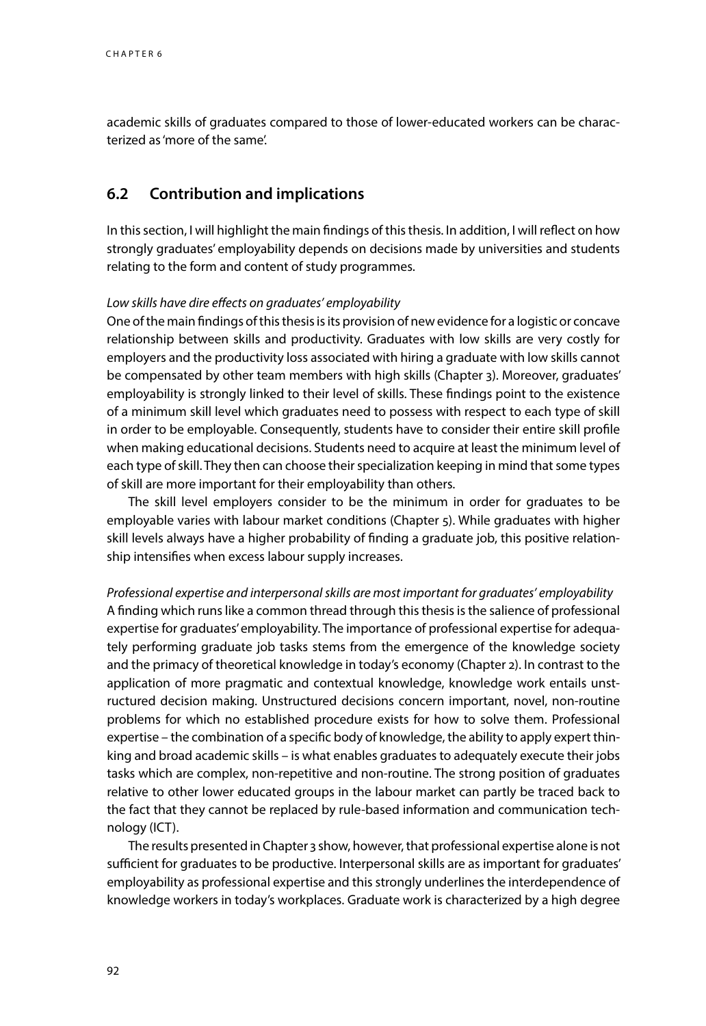academic skills of graduates compared to those of lower-educated workers can be characterized as 'more of the same'.

# **6.2 Contribution and implications**

In this section, I will highlight the main findings of this thesis. In addition, I will reflect on how strongly graduates' employability depends on decisions made by universities and students relating to the form and content of study programmes.

#### *Low skills have dire effects on graduates' employability*

One of the main findings of this thesis is its provision of new evidence for a logistic or concave relationship between skills and productivity. Graduates with low skills are very costly for employers and the productivity loss associated with hiring a graduate with low skills cannot be compensated by other team members with high skills (Chapter 3). Moreover, graduates' employability is strongly linked to their level of skills. These findings point to the existence of a minimum skill level which graduates need to possess with respect to each type of skill in order to be employable. Consequently, students have to consider their entire skill profile when making educational decisions. Students need to acquire at least the minimum level of each type of skill. They then can choose their specialization keeping in mind that some types of skill are more important for their employability than others.

The skill level employers consider to be the minimum in order for graduates to be employable varies with labour market conditions (Chapter 5). While graduates with higher skill levels always have a higher probability of finding a graduate job, this positive relationship intensifies when excess labour supply increases.

*Professional expertise and interpersonal skills are most important for graduates' employability* A finding which runs like a common thread through this thesis is the salience of professional expertise for graduates' employability. The importance of professional expertise for adequately performing graduate job tasks stems from the emergence of the knowledge society and the primacy of theoretical knowledge in today's economy (Chapter 2). In contrast to the application of more pragmatic and contextual knowledge, knowledge work entails unstructured decision making. Unstructured decisions concern important, novel, non-routine problems for which no established procedure exists for how to solve them. Professional expertise – the combination of a specific body of knowledge, the ability to apply expert thinking and broad academic skills – is what enables graduates to adequately execute their jobs tasks which are complex, non-repetitive and non-routine. The strong position of graduates relative to other lower educated groups in the labour market can partly be traced back to the fact that they cannot be replaced by rule-based information and communication technology (ICT).

The results presented in Chapter 3 show, however, that professional expertise alone is not sufficient for graduates to be productive. Interpersonal skills are as important for graduates' employability as professional expertise and this strongly underlines the interdependence of knowledge workers in today's workplaces. Graduate work is characterized by a high degree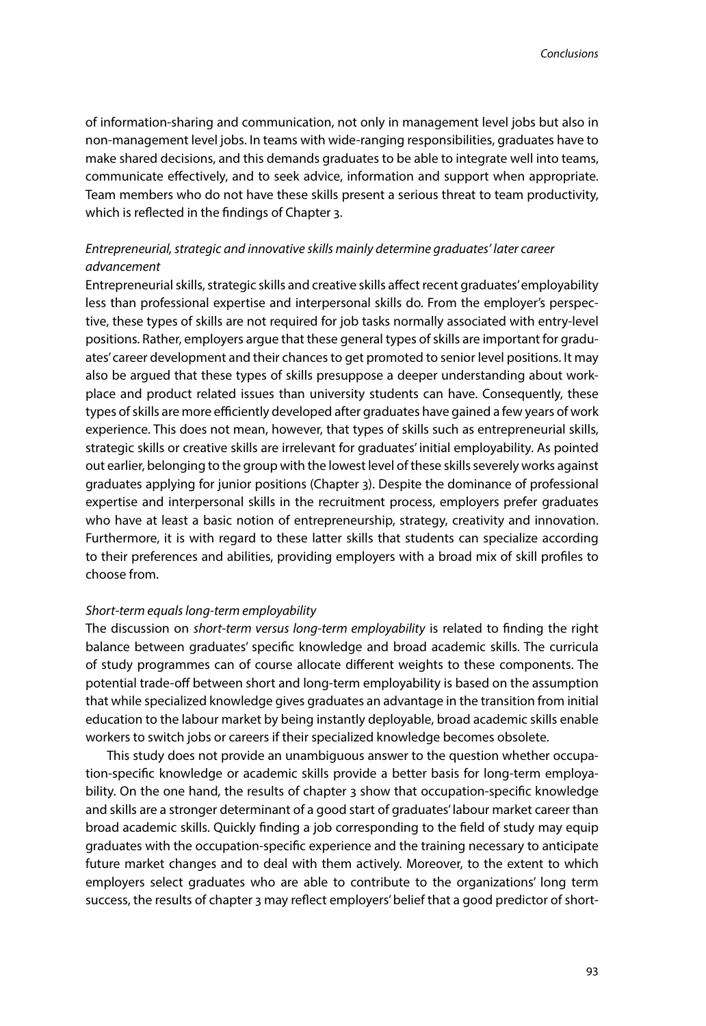of information-sharing and communication, not only in management level jobs but also in non-management level jobs. In teams with wide-ranging responsibilities, graduates have to make shared decisions, and this demands graduates to be able to integrate well into teams, communicate effectively, and to seek advice, information and support when appropriate. Team members who do not have these skills present a serious threat to team productivity, which is reflected in the findings of Chapter 3.

# *Entrepreneurial, strategic and innovative skills mainly determine graduates' later career advancement*

Entrepreneurial skills, strategic skills and creative skills affect recent graduates' employability less than professional expertise and interpersonal skills do. From the employer's perspective, these types of skills are not required for job tasks normally associated with entry-level positions. Rather, employers argue that these general types of skills are important for graduates' career development and their chances to get promoted to senior level positions. It may also be argued that these types of skills presuppose a deeper understanding about workplace and product related issues than university students can have. Consequently, these types of skills are more efficiently developed after graduates have gained a few years of work experience. This does not mean, however, that types of skills such as entrepreneurial skills, strategic skills or creative skills are irrelevant for graduates' initial employability. As pointed out earlier, belonging to the group with the lowest level of these skills severely works against graduates applying for junior positions (Chapter 3). Despite the dominance of professional expertise and interpersonal skills in the recruitment process, employers prefer graduates who have at least a basic notion of entrepreneurship, strategy, creativity and innovation. Furthermore, it is with regard to these latter skills that students can specialize according to their preferences and abilities, providing employers with a broad mix of skill profiles to choose from.

#### *Short-term equals long-term employability*

The discussion on *short-term versus long-term employability* is related to finding the right balance between graduates' specific knowledge and broad academic skills. The curricula of study programmes can of course allocate different weights to these components. The potential trade-off between short and long-term employability is based on the assumption that while specialized knowledge gives graduates an advantage in the transition from initial education to the labour market by being instantly deployable, broad academic skills enable workers to switch jobs or careers if their specialized knowledge becomes obsolete.

This study does not provide an unambiguous answer to the question whether occupation-specific knowledge or academic skills provide a better basis for long-term employability. On the one hand, the results of chapter 3 show that occupation-specific knowledge and skills are a stronger determinant of a good start of graduates' labour market career than broad academic skills. Quickly finding a job corresponding to the field of study may equip graduates with the occupation-specific experience and the training necessary to anticipate future market changes and to deal with them actively. Moreover, to the extent to which employers select graduates who are able to contribute to the organizations' long term success, the results of chapter 3 may reflect employers' belief that a good predictor of short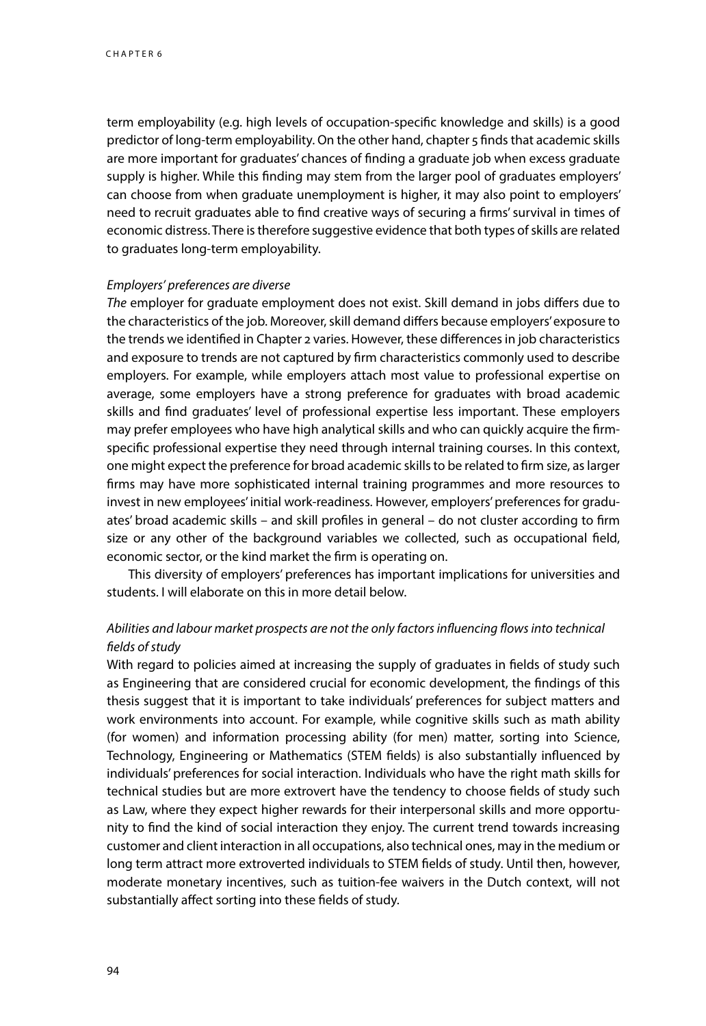term employability (e.g. high levels of occupation-specific knowledge and skills) is a good predictor of long-term employability. On the other hand, chapter 5 finds that academic skills are more important for graduates' chances of finding a graduate job when excess graduate supply is higher. While this finding may stem from the larger pool of graduates employers' can choose from when graduate unemployment is higher, it may also point to employers' need to recruit graduates able to find creative ways of securing a firms' survival in times of economic distress. There is therefore suggestive evidence that both types of skills are related to graduates long-term employability.

#### *Employers' preferences are diverse*

*The* employer for graduate employment does not exist. Skill demand in jobs differs due to the characteristics of the job. Moreover, skill demand differs because employers' exposure to the trends we identified in Chapter 2 varies. However, these differences in job characteristics and exposure to trends are not captured by firm characteristics commonly used to describe employers. For example, while employers attach most value to professional expertise on average, some employers have a strong preference for graduates with broad academic skills and find graduates' level of professional expertise less important. These employers may prefer employees who have high analytical skills and who can quickly acquire the firmspecific professional expertise they need through internal training courses. In this context, one might expect the preference for broad academic skills to be related to firm size, as larger firms may have more sophisticated internal training programmes and more resources to invest in new employees' initial work-readiness. However, employers' preferences for graduates' broad academic skills – and skill profiles in general – do not cluster according to firm size or any other of the background variables we collected, such as occupational field, economic sector, or the kind market the firm is operating on.

This diversity of employers' preferences has important implications for universities and students. I will elaborate on this in more detail below.

# *Abilities and labour market prospects are not the only factors influencing flows into technical fields of study*

With regard to policies aimed at increasing the supply of graduates in fields of study such as Engineering that are considered crucial for economic development, the findings of this thesis suggest that it is important to take individuals' preferences for subject matters and work environments into account. For example, while cognitive skills such as math ability (for women) and information processing ability (for men) matter, sorting into Science, Technology, Engineering or Mathematics (STEM fields) is also substantially influenced by individuals' preferences for social interaction. Individuals who have the right math skills for technical studies but are more extrovert have the tendency to choose fields of study such as Law, where they expect higher rewards for their interpersonal skills and more opportunity to find the kind of social interaction they enjoy. The current trend towards increasing customer and client interaction in all occupations, also technical ones, may in the medium or long term attract more extroverted individuals to STEM fields of study. Until then, however, moderate monetary incentives, such as tuition-fee waivers in the Dutch context, will not substantially affect sorting into these fields of study.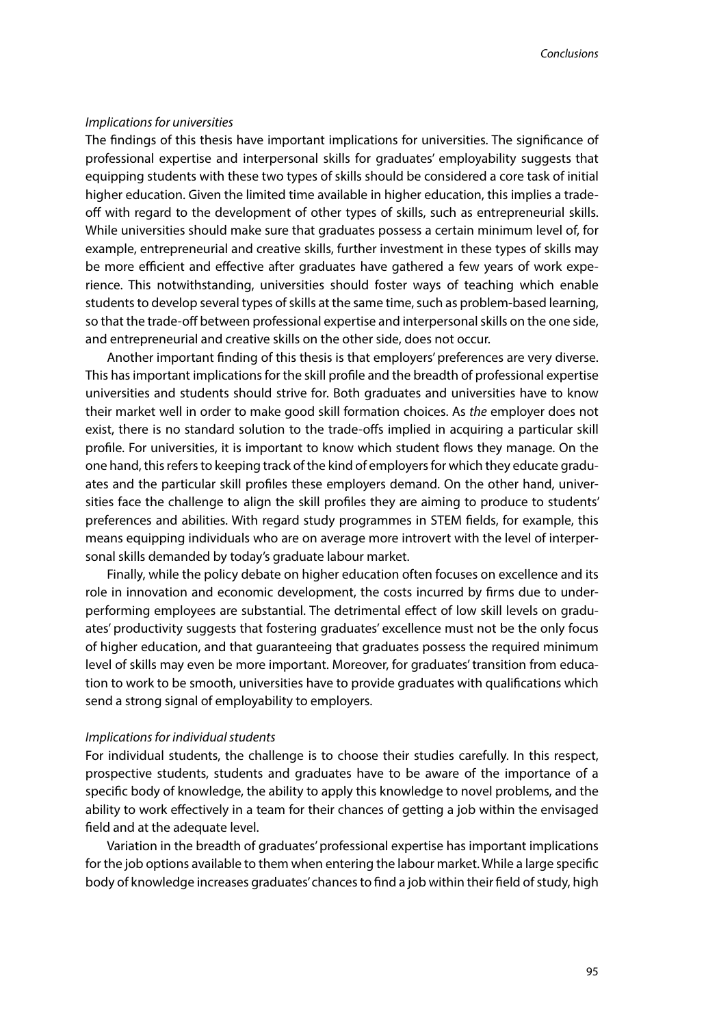#### *Implications for universities*

The findings of this thesis have important implications for universities. The significance of professional expertise and interpersonal skills for graduates' employability suggests that equipping students with these two types of skills should be considered a core task of initial higher education. Given the limited time available in higher education, this implies a tradeoff with regard to the development of other types of skills, such as entrepreneurial skills. While universities should make sure that graduates possess a certain minimum level of, for example, entrepreneurial and creative skills, further investment in these types of skills may be more efficient and effective after graduates have gathered a few years of work experience. This notwithstanding, universities should foster ways of teaching which enable students to develop several types of skills at the same time, such as problem-based learning, so that the trade-off between professional expertise and interpersonal skills on the one side, and entrepreneurial and creative skills on the other side, does not occur.

Another important finding of this thesis is that employers' preferences are very diverse. This has important implications for the skill profile and the breadth of professional expertise universities and students should strive for. Both graduates and universities have to know their market well in order to make good skill formation choices. As *the* employer does not exist, there is no standard solution to the trade-offs implied in acquiring a particular skill profile. For universities, it is important to know which student flows they manage. On the one hand, this refers to keeping track of the kind of employers for which they educate graduates and the particular skill profiles these employers demand. On the other hand, universities face the challenge to align the skill profiles they are aiming to produce to students' preferences and abilities. With regard study programmes in STEM fields, for example, this means equipping individuals who are on average more introvert with the level of interpersonal skills demanded by today's graduate labour market.

Finally, while the policy debate on higher education often focuses on excellence and its role in innovation and economic development, the costs incurred by firms due to underperforming employees are substantial. The detrimental effect of low skill levels on graduates' productivity suggests that fostering graduates' excellence must not be the only focus of higher education, and that guaranteeing that graduates possess the required minimum level of skills may even be more important. Moreover, for graduates' transition from education to work to be smooth, universities have to provide graduates with qualifications which send a strong signal of employability to employers.

#### *Implications for individual students*

For individual students, the challenge is to choose their studies carefully. In this respect, prospective students, students and graduates have to be aware of the importance of a specific body of knowledge, the ability to apply this knowledge to novel problems, and the ability to work effectively in a team for their chances of getting a job within the envisaged field and at the adequate level.

Variation in the breadth of graduates' professional expertise has important implications for the job options available to them when entering the labour market. While a large specific body of knowledge increases graduates' chances to find a job within their field of study, high